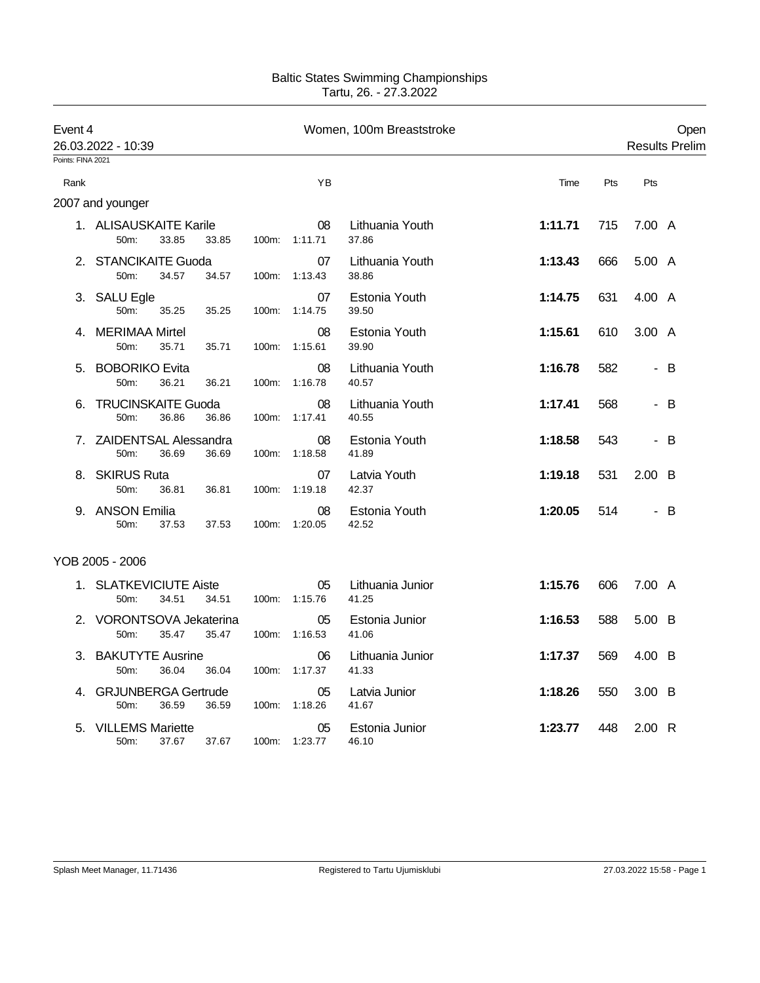## Baltic States Swimming Championships Tartu, 26. - 27.3.2022

| Event 4<br>26.03.2022 - 10:39 |                                             |                | Women, 100m Breaststroke |                           |                | <b>Results Prelim</b>    |     |  |
|-------------------------------|---------------------------------------------|----------------|--------------------------|---------------------------|----------------|--------------------------|-----|--|
| Points: FINA 2021             |                                             |                |                          |                           |                |                          |     |  |
| Rank                          |                                             |                | YB                       |                           | Time           | Pts<br>Pts               |     |  |
|                               | 2007 and younger                            |                |                          |                           |                |                          |     |  |
|                               | 1. ALISAUSKAITE Karile<br>33.85<br>50m:     | 33.85<br>100m: | 08<br>1:11.71            | Lithuania Youth<br>37.86  | 1:11.71<br>715 | 7.00 A                   |     |  |
| 2.                            | <b>STANCIKAITE Guoda</b><br>50m:<br>34.57   | 34.57<br>100m: | 07<br>1:13.43            | Lithuania Youth<br>38.86  | 1:13.43<br>666 | 5.00 A                   |     |  |
| З.                            | <b>SALU Egle</b><br>50m:<br>35.25           | 35.25<br>100m: | 07<br>1:14.75            | Estonia Youth<br>39.50    | 631<br>1:14.75 | 4.00 A                   |     |  |
| 4.                            | <b>MERIMAA Mirtel</b><br>50m:<br>35.71      | 35.71<br>100m: | 08<br>1:15.61            | Estonia Youth<br>39.90    | 1:15.61<br>610 | 3.00 A                   |     |  |
| 5.                            | <b>BOBORIKO Evita</b><br>50m:<br>36.21      | 36.21<br>100m: | 08<br>1:16.78            | Lithuania Youth<br>40.57  | 1:16.78<br>582 | $\sim$                   | B   |  |
| 6.                            | <b>TRUCINSKAITE Guoda</b><br>50m:<br>36.86  | 36.86          | 08<br>100m: 1:17.41      | Lithuania Youth<br>40.55  | 1:17.41<br>568 |                          | - B |  |
|                               | 7. ZAIDENTSAL Alessandra<br>36.69<br>50m:   | 36.69<br>100m: | 08<br>1:18.58            | Estonia Youth<br>41.89    | 1:18.58<br>543 |                          | - B |  |
|                               | 8. SKIRUS Ruta<br>50m:<br>36.81             | 100m:<br>36.81 | 07<br>1:19.18            | Latvia Youth<br>42.37     | 1:19.18<br>531 | $2.00\quad B$            |     |  |
|                               | 9. ANSON Emilia<br>50m:<br>37.53            | 37.53<br>100m: | 08<br>1:20.05            | Estonia Youth<br>42.52    | 514<br>1:20.05 | $\overline{\phantom{0}}$ | B   |  |
|                               | YOB 2005 - 2006                             |                |                          |                           |                |                          |     |  |
| 1.                            | <b>SLATKEVICIUTE Aiste</b><br>34.51<br>50m: | 34.51<br>100m: | 05<br>1:15.76            | Lithuania Junior<br>41.25 | 1:15.76<br>606 | 7.00 A                   |     |  |
| 2.                            | VORONTSOVA Jekaterina<br>50m:<br>35.47      | 35.47<br>100m: | 05<br>1:16.53            | Estonia Junior<br>41.06   | 1:16.53<br>588 | 5.00 B                   |     |  |
| 3.                            | <b>BAKUTYTE Ausrine</b><br>50m:<br>36.04    | 36.04<br>100m: | 06<br>1:17.37            | Lithuania Junior<br>41.33 | 1:17.37<br>569 | 4.00 B                   |     |  |
| 4.                            | <b>GRJUNBERGA Gertrude</b><br>50m:<br>36.59 | 36.59<br>100m: | 05<br>1:18.26            | Latvia Junior<br>41.67    | 1:18.26<br>550 | 3.00 B                   |     |  |
| 5.                            | <b>VILLEMS Mariette</b><br>50m:<br>37.67    | 37.67<br>100m: | 05<br>1:23.77            | Estonia Junior<br>46.10   | 1:23.77<br>448 | 2.00 R                   |     |  |